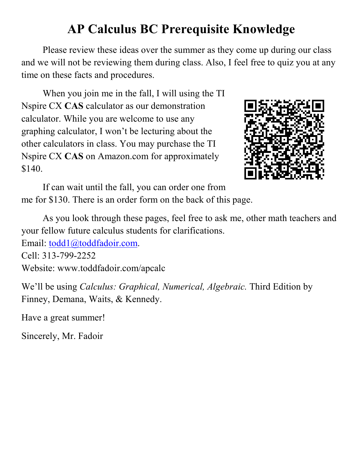## **AP Calculus BC Prerequisite Knowledge**

Please review these ideas over the summer as they come up during our class and we will not be reviewing them during class. Also, I feel free to quiz you at any time on these facts and procedures.

When you join me in the fall, I will using the TI Nspire CX **CAS** calculator as our demonstration calculator. While you are welcome to use any graphing calculator, I won't be lecturing about the other calculators in class. You may purchase the TI Nspire CX **CAS** on Amazon.com for approximately \$140.



If can wait until the fall, you can order one from me for \$130. There is an order form on the back of this page.

As you look through these pages, feel free to ask me, other math teachers and your fellow future calculus students for clarifications.

Email: todd1@toddfadoir.com.

Cell: 313-799-2252

Website: www.toddfadoir.com/apcalc

We'll be using *Calculus: Graphical, Numerical, Algebraic.* Third Edition by Finney, Demana, Waits, & Kennedy.

Have a great summer!

Sincerely, Mr. Fadoir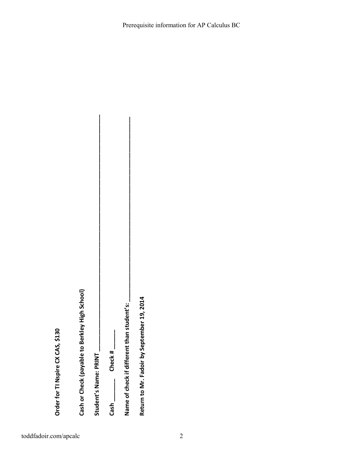Order for TI Nspire CX CAS, \$130

**Order for TI Nspire CX CAS, \$130 Cash or Check (payable to Berkley High School) Student's Name: PRINT \_\_\_\_\_\_\_\_\_\_\_\_\_\_\_\_\_\_\_\_\_\_\_\_\_\_\_\_\_\_\_\_\_\_\_\_\_\_\_\_\_\_\_\_\_\_\_\_\_\_\_\_\_\_\_\_\_\_\_\_\_\_\_\_\_\_\_\_\_\_\_\_\_**  Cash or Check (payable to Berkley High School)

Student's Name: PRINT

**Cash \_\_\_\_\_\_\_ Check # \_\_\_\_\_\_**   $Check +$ Cash<sub>—</sub>

**Name of check if different than student's: \_\_\_\_\_\_\_\_\_\_\_\_\_\_\_\_\_\_\_\_\_\_\_\_\_\_\_\_\_\_\_\_\_\_\_\_\_\_\_\_\_\_\_\_\_\_\_\_\_\_\_\_\_\_\_\_\_**  Name of check if different than student's:

Return to Mr. Fadoir by September 19, 2014 **Return to Mr. Fadoir by September 19, 2014**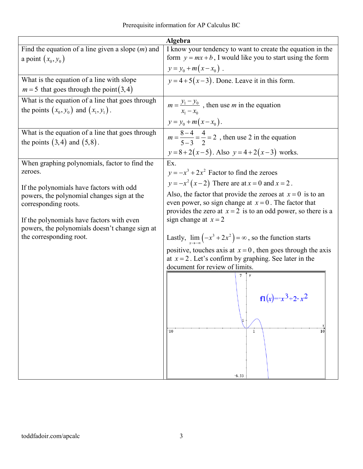| Algebra                                                                              |                                                                               |  |  |
|--------------------------------------------------------------------------------------|-------------------------------------------------------------------------------|--|--|
| Find the equation of a line given a slope $(m)$ and                                  | I know your tendency to want to create the equation in the                    |  |  |
| a point $(x_0, y_0)$                                                                 | form $y = mx + b$ , I would like you to start using the form                  |  |  |
|                                                                                      | $y = y_0 + m(x - x_0)$ .                                                      |  |  |
| What is the equation of a line with slope                                            | $y = 4 + 5(x-3)$ . Done. Leave it in this form.                               |  |  |
| $m = 5$ that goes through the point (3,4)                                            |                                                                               |  |  |
| What is the equation of a line that goes through                                     | $m = \frac{y_1 - y_0}{x_1}$ , then use <i>m</i> in the equation               |  |  |
| the points $(x_0, y_0)$ and $(x_1, y_1)$ .                                           |                                                                               |  |  |
|                                                                                      | $y = y_0 + m(x - x_0).$                                                       |  |  |
| What is the equation of a line that goes through<br>the points $(3,4)$ and $(5,8)$ . | $m = \frac{8-4}{5-3} = \frac{4}{2} = 2$ , then use 2 in the equation          |  |  |
|                                                                                      | $y=8+2(x-5)$ . Also $y=4+2(x-3)$ works.                                       |  |  |
| When graphing polynomials, factor to find the                                        | Ex.                                                                           |  |  |
| zeroes.                                                                              | $y = -x^3 + 2x^2$ Factor to find the zeroes                                   |  |  |
| If the polynomials have factors with odd                                             | $y = -x^2(x-2)$ There are at $x = 0$ and $x = 2$ .                            |  |  |
| powers, the polynomial changes sign at the                                           | Also, the factor that provide the zeroes at $x = 0$ is to an                  |  |  |
| corresponding roots.                                                                 | even power, so sign change at $x = 0$ . The factor that                       |  |  |
|                                                                                      | provides the zero at $x = 2$ is to an odd power, so there is a                |  |  |
| If the polynomials have factors with even                                            | sign change at $x = 2$                                                        |  |  |
| powers, the polynomials doesn't change sign at<br>the corresponding root.            | Lastly, $\lim_{x \to \infty} (-x^3 + 2x^2) = \infty$ , so the function starts |  |  |
|                                                                                      | positive, touches axis at $x = 0$ , then goes through the axis                |  |  |
|                                                                                      | at $x = 2$ . Let's confirm by graphing. See later in the                      |  |  |
|                                                                                      | document for review of limits.<br>7                                           |  |  |
|                                                                                      |                                                                               |  |  |
|                                                                                      | $f1(x) = x^3 + 2 \cdot x^2$                                                   |  |  |
|                                                                                      |                                                                               |  |  |
|                                                                                      |                                                                               |  |  |
|                                                                                      |                                                                               |  |  |
|                                                                                      | $-10$<br>10<br>-1                                                             |  |  |
|                                                                                      |                                                                               |  |  |
|                                                                                      |                                                                               |  |  |
|                                                                                      |                                                                               |  |  |
|                                                                                      | $-6.33$                                                                       |  |  |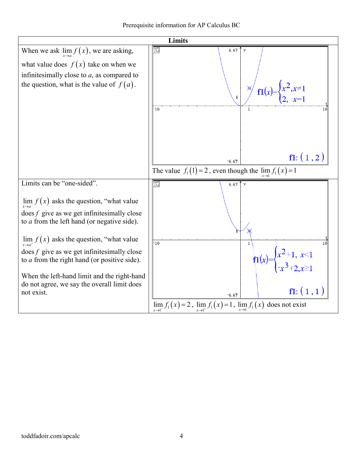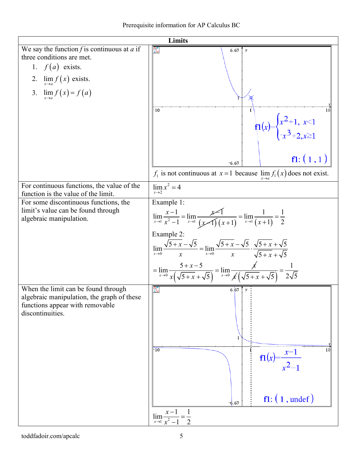| Limits                                                                                                                                   |                                                                                                                                                                                                                                                                                                                                                                                                                                         |  |  |
|------------------------------------------------------------------------------------------------------------------------------------------|-----------------------------------------------------------------------------------------------------------------------------------------------------------------------------------------------------------------------------------------------------------------------------------------------------------------------------------------------------------------------------------------------------------------------------------------|--|--|
| We say the function $f$ is continuous at $a$ if<br>three conditions are met.<br>1. $f(a)$ exists.<br>2. $\lim_{x\to a} f(x)$ exists.     | $\infty$<br>6.67 $\uparrow$ y                                                                                                                                                                                                                                                                                                                                                                                                           |  |  |
| 3. $\lim_{x \to a} f(x) = f(a)$                                                                                                          | $-10$<br>$\mathbf{1}$<br>10<br>$f1(x) = \begin{cases} x^2 + 1, & x < 1 \\ -x^3 + 2, & x \ge 1 \end{cases}$<br>f1: (1,1)<br>$-6.67$<br>$f_1$ is not continuous at $x=1$ because $\lim f_1(x)$ does not exist.                                                                                                                                                                                                                            |  |  |
| For continuous functions, the value of the<br>function is the value of the limit.                                                        | $\lim x^2 = 4$<br>$x \rightarrow 2$                                                                                                                                                                                                                                                                                                                                                                                                     |  |  |
| For some discontinuous functions, the<br>limit's value can be found through<br>algebraic manipulation.                                   | Example 1:<br>$\lim_{x\to 1}\frac{x-1}{x^2-1}=\lim_{x\to 1}\frac{x-1}{(x-1)(x+1)}=\lim_{x\to 1}\frac{1}{(x+1)}=\frac{1}{2}$<br>Example 2:<br>$\lim_{x\to 0} \frac{\sqrt{5+x} - \sqrt{5}}{x} = \lim_{x\to 0} \frac{\sqrt{5+x} - \sqrt{5}}{x} \cdot \frac{\sqrt{5+x} + \sqrt{5}}{\sqrt{5+x} + \sqrt{5}}$<br>$= \lim_{x\to 0} \frac{5+x-5}{x(\sqrt{5+x}+\sqrt{5})} = \lim_{x\to 0} \frac{x}{x(\sqrt{5+x}+\sqrt{5})} = \frac{1}{2\sqrt{5}}$ |  |  |
| When the limit can be found through<br>algebraic manipulation, the graph of these<br>functions appear with removable<br>discontinuities. | $\infty$<br>6.67 $\uparrow$ y<br>$\overline{10}$<br>10<br>$f1(x) = \frac{x-1}{x^2-1}$<br>$f1: (1, \text{under})$<br>$-6.67$<br>$\lim_{x\to 1}\frac{x-1}{x^2-1}=\frac{1}{2}$                                                                                                                                                                                                                                                             |  |  |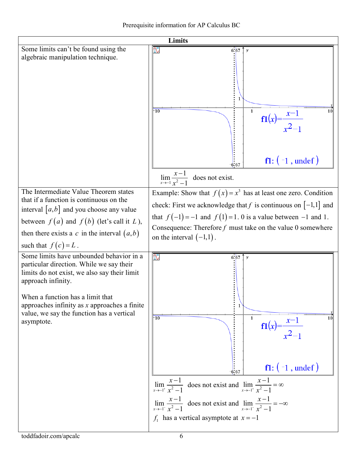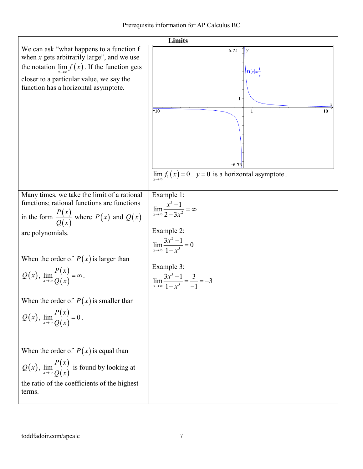| Limits                                                                                                                                                                                                                                                                                                                                                                                |                                                                                                                                                                                                             |  |  |  |
|---------------------------------------------------------------------------------------------------------------------------------------------------------------------------------------------------------------------------------------------------------------------------------------------------------------------------------------------------------------------------------------|-------------------------------------------------------------------------------------------------------------------------------------------------------------------------------------------------------------|--|--|--|
| We can ask "what happens to a function f<br>when $x$ gets arbitrarily large", and we use<br>the notation $\lim_{x\to\infty} f(x)$ . If the function gets<br>closer to a particular value, we say the<br>function has a horizontal asymptote.                                                                                                                                          | 6.73<br>$\boldsymbol{\nu}$<br>$f1(x) = -$<br>$\mathbf{1}$<br>$-10$<br>$\mathbf{1}$<br>10<br>$-6.73$<br>$\lim_{x\to\infty} f_1(x) = 0$ . $y = 0$ is a horizontal asymptote                                   |  |  |  |
| Many times, we take the limit of a rational<br>functions; rational functions are functions<br>in the form $\frac{P(x)}{Q(x)}$ where $P(x)$ and $Q(x)$<br>are polynomials.<br>When the order of $P(x)$ is larger than<br>$Q(x)$ , $\lim_{x\to\infty} \frac{P(x)}{Q(x)} = \infty$ .<br>When the order of $P(x)$ is smaller than<br>$Q(x)$ , $\lim_{x\to\infty} \frac{P(x)}{Q(x)} = 0$ . | Example 1:<br>$\lim_{x\to\infty}\frac{x^3-1}{2-3x^2}=\infty$<br>Example 2:<br>$\lim_{x\to\infty}\frac{3x^2-1}{1-x^3}=0$<br>Example 3:<br>$\lim_{x \to \infty} \frac{3x^3 - 1}{1 - x^3} = \frac{3}{-1} = -3$ |  |  |  |
| When the order of $P(x)$ is equal than<br>$Q(x)$ , $\lim_{x\to\infty} \frac{P(x)}{Q(x)}$ is found by looking at<br>the ratio of the coefficients of the highest<br>terms.                                                                                                                                                                                                             |                                                                                                                                                                                                             |  |  |  |

Ι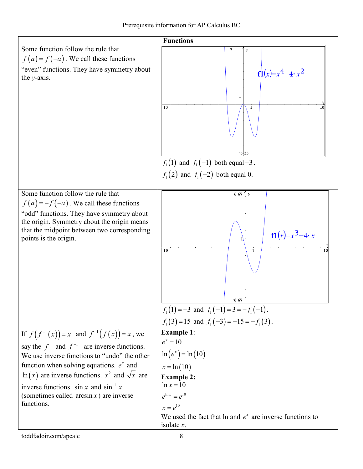| <b>Functions</b>                                                                                                                                                                                                                                                                                                                                                          |                                                                                                                                                                                                                                           |  |  |
|---------------------------------------------------------------------------------------------------------------------------------------------------------------------------------------------------------------------------------------------------------------------------------------------------------------------------------------------------------------------------|-------------------------------------------------------------------------------------------------------------------------------------------------------------------------------------------------------------------------------------------|--|--|
| Some function follow the rule that<br>$f(a) = f(-a)$ . We call these functions<br>"even" functions. They have symmetry about<br>the $y$ -axis.                                                                                                                                                                                                                            | $7\phantom{.0}$<br>$\boldsymbol{\nu}$<br>$f1(x)=x^4-4 \cdot x^2$<br>1<br>10<br>$\mathbf{1}$<br>10<br>-6.33<br>$f_1(1)$ and $f_1(-1)$ both equal -3.<br>$f_1(2)$ and $f_1(-2)$ both equal 0.                                               |  |  |
| Some function follow the rule that<br>$f(a) = -f(-a)$ . We call these functions<br>"odd" functions. They have symmetry about<br>the origin. Symmetry about the origin means<br>that the midpoint between two corresponding<br>points is the origin.                                                                                                                       | 6.67 $\uparrow$ y<br>$f1(x)=x^3-4 \cdot x$<br>10<br>1<br>10<br>$-6.67$<br>$f_1(1) = -3$ and $f_1(-1) = 3 = -f_1(-1)$ .<br>$f_1(3) = 15$ and $f_1(-3) = -15 = -f_1(3)$ .                                                                   |  |  |
| If $f(f^{-1}(x)) = x$ and $f^{-1}(f(x)) = x$ , we<br>say the f and $f^{-1}$ are inverse functions.<br>We use inverse functions to "undo" the other<br>function when solving equations. $e^x$ and<br>$\ln(x)$ are inverse functions. $x^2$ and $\sqrt{x}$ are<br>inverse functions. $\sin x$ and $\sin^{-1} x$<br>(sometimes called $arcsin x$ ) are inverse<br>functions. | <b>Example 1:</b><br>$e^{x} = 10$<br>$\ln(e^x) = \ln(10)$<br>$x = \ln(10)$<br><b>Example 2:</b><br>$ln x = 10$<br>$e^{\ln x} = e^{10}$<br>$x = e^{10}$<br>We used the fact that $\ln$ and $e^x$ are inverse functions to<br>isolate $x$ . |  |  |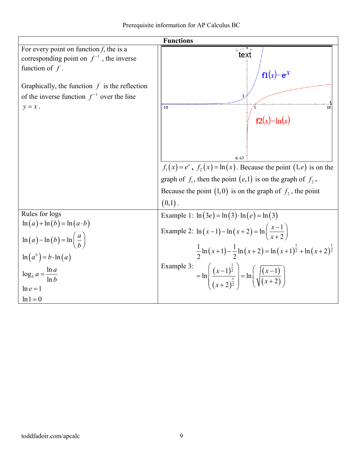|  | Prerequisite information for AP Calculus BC |  |  |  |
|--|---------------------------------------------|--|--|--|
|--|---------------------------------------------|--|--|--|

| <b>Functions</b>                                                                                                                                                                                        |                                                                                                                                                                                                                                                                                                                                                                          |  |  |
|---------------------------------------------------------------------------------------------------------------------------------------------------------------------------------------------------------|--------------------------------------------------------------------------------------------------------------------------------------------------------------------------------------------------------------------------------------------------------------------------------------------------------------------------------------------------------------------------|--|--|
| For every point on function $f$ , the is a<br>corresponding point on $f^{-1}$ , the inverse<br>function of $f$ .                                                                                        | $6.67$ $\gamma$<br>text<br>$f1(x) = e^x$                                                                                                                                                                                                                                                                                                                                 |  |  |
| Graphically, the function $f$ is the reflection<br>of the inverse function $f^{-1}$ over the line<br>$y = x$ .                                                                                          | $-10$<br>10<br>$f2(x)=ln(x)$<br>$-6.67$<br>$f_1(x) = e^x$ , $f_2(x) = \ln(x)$ . Because the point $(1, e)$ is on the                                                                                                                                                                                                                                                     |  |  |
|                                                                                                                                                                                                         | graph of $f_1$ , then the point $(e,1)$ is on the graph of $f_2$ .<br>Because the point (1,0) is on the graph of $f_2$ , the point<br>$(0,1)$ .                                                                                                                                                                                                                          |  |  |
| Rules for logs<br>$\ln(a) + \ln(b) = \ln(a \cdot b)$<br>$\ln(a) - \ln(b) = \ln\left(\frac{a}{b}\right)$<br>$\ln(a^b) = b \cdot \ln(a)$<br>$\log_b a = \frac{\ln a}{\ln b}$<br>$\ln e = 1$<br>$ln 1 = 0$ | Example 1: $\ln(3e) = \ln(3) \cdot \ln(e) = \ln(3)$<br>Example 2: $\ln(x-1) - \ln(x+2) = \ln\left(\frac{x-1}{x+2}\right)$<br>$\frac{1}{2} \ln (x+1) - \frac{1}{2} \ln (x+2) = \ln (x+1)^{\frac{1}{2}} + \ln (x+2)^{\frac{1}{2}}$<br>Example 3:<br>= $\ln \left( \frac{(x-1)^{\frac{1}{2}}}{(x+2)^{\frac{1}{2}}} \right) = \ln \left( \sqrt{\frac{(x-1)}{(x+2)}} \right)$ |  |  |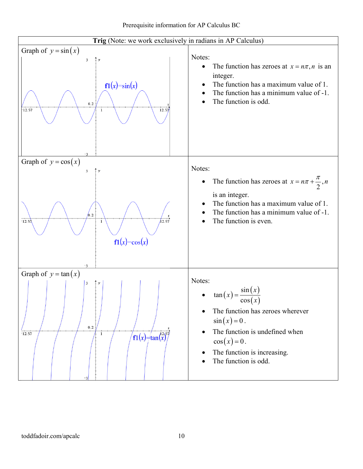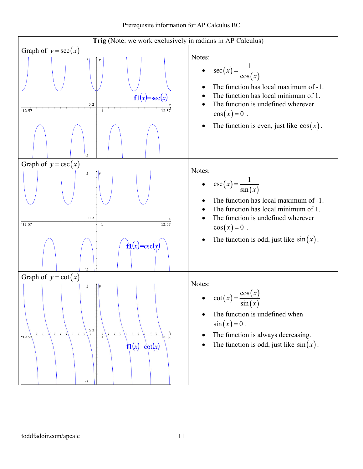